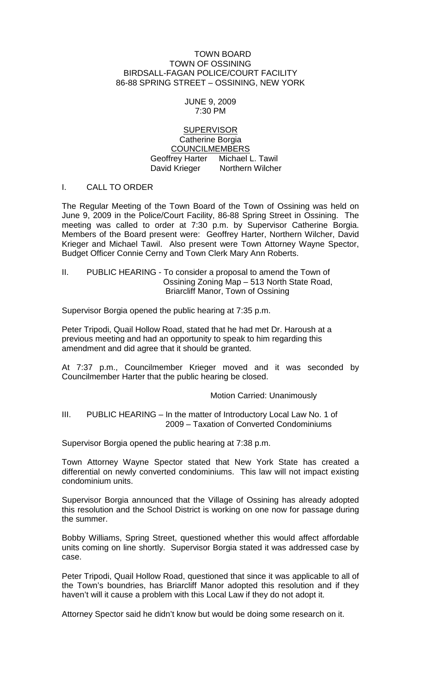#### TOWN BOARD TOWN OF OSSINING BIRDSALL-FAGAN POLICE/COURT FACILITY 86-88 SPRING STREET – OSSINING, NEW YORK

#### JUNE 9, 2009 7:30 PM

#### **SUPERVISOR** Catherine Borgia COUNCILMEMBERS Geoffrey Harter Michael L. Tawil David Krieger Northern Wilcher

### I. CALL TO ORDER

The Regular Meeting of the Town Board of the Town of Ossining was held on June 9, 2009 in the Police/Court Facility, 86-88 Spring Street in Ossining. The meeting was called to order at 7:30 p.m. by Supervisor Catherine Borgia. Members of the Board present were: Geoffrey Harter, Northern Wilcher, David Krieger and Michael Tawil. Also present were Town Attorney Wayne Spector, Budget Officer Connie Cerny and Town Clerk Mary Ann Roberts.

II. PUBLIC HEARING - To consider a proposal to amend the Town of Ossining Zoning Map – 513 North State Road, Briarcliff Manor, Town of Ossining

Supervisor Borgia opened the public hearing at 7:35 p.m.

Peter Tripodi, Quail Hollow Road, stated that he had met Dr. Haroush at a previous meeting and had an opportunity to speak to him regarding this amendment and did agree that it should be granted.

At 7:37 p.m., Councilmember Krieger moved and it was seconded by Councilmember Harter that the public hearing be closed.

Motion Carried: Unanimously

#### III. PUBLIC HEARING – In the matter of Introductory Local Law No. 1 of 2009 – Taxation of Converted Condominiums

Supervisor Borgia opened the public hearing at 7:38 p.m.

Town Attorney Wayne Spector stated that New York State has created a differential on newly converted condominiums. This law will not impact existing condominium units.

Supervisor Borgia announced that the Village of Ossining has already adopted this resolution and the School District is working on one now for passage during the summer.

Bobby Williams, Spring Street, questioned whether this would affect affordable units coming on line shortly. Supervisor Borgia stated it was addressed case by case.

Peter Tripodi, Quail Hollow Road, questioned that since it was applicable to all of the Town's boundries, has Briarcliff Manor adopted this resolution and if they haven't will it cause a problem with this Local Law if they do not adopt it.

Attorney Spector said he didn't know but would be doing some research on it.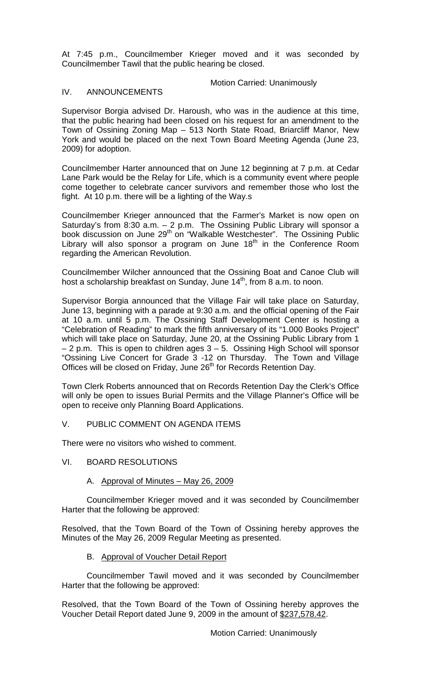At 7:45 p.m., Councilmember Krieger moved and it was seconded by Councilmember Tawil that the public hearing be closed.

#### Motion Carried: Unanimously

#### IV. ANNOUNCEMENTS

Supervisor Borgia advised Dr. Haroush, who was in the audience at this time, that the public hearing had been closed on his request for an amendment to the Town of Ossining Zoning Map – 513 North State Road, Briarcliff Manor, New York and would be placed on the next Town Board Meeting Agenda (June 23, 2009) for adoption.

Councilmember Harter announced that on June 12 beginning at 7 p.m. at Cedar Lane Park would be the Relay for Life, which is a community event where people come together to celebrate cancer survivors and remember those who lost the fight. At 10 p.m. there will be a lighting of the Way.s

Councilmember Krieger announced that the Farmer's Market is now open on Saturday's from 8:30 a.m. – 2 p.m. The Ossining Public Library will sponsor a book discussion on June 29<sup>th</sup> on "Walkable Westchester". The Ossining Public Library will also sponsor a program on June  $18<sup>th</sup>$  in the Conference Room regarding the American Revolution.

Councilmember Wilcher announced that the Ossining Boat and Canoe Club will host a scholarship breakfast on Sunday, June 14<sup>th</sup>, from 8 a.m. to noon.

Supervisor Borgia announced that the Village Fair will take place on Saturday, June 13, beginning with a parade at 9:30 a.m. and the official opening of the Fair at 10 a.m. until 5 p.m. The Ossining Staff Development Center is hosting a "Celebration of Reading" to mark the fifth anniversary of its "1.000 Books Project" which will take place on Saturday, June 20, at the Ossining Public Library from 1 – 2 p.m. This is open to children ages 3 – 5. Ossining High School will sponsor "Ossining Live Concert for Grade 3 -12 on Thursday. The Town and Village Offices will be closed on Friday, June 26<sup>th</sup> for Records Retention Day.

Town Clerk Roberts announced that on Records Retention Day the Clerk's Office will only be open to issues Burial Permits and the Village Planner's Office will be open to receive only Planning Board Applications.

## V. PUBLIC COMMENT ON AGENDA ITEMS

There were no visitors who wished to comment.

#### VI. BOARD RESOLUTIONS

## A. Approval of Minutes – May 26, 2009

Councilmember Krieger moved and it was seconded by Councilmember Harter that the following be approved:

Resolved, that the Town Board of the Town of Ossining hereby approves the Minutes of the May 26, 2009 Regular Meeting as presented.

### B. Approval of Voucher Detail Report

Councilmember Tawil moved and it was seconded by Councilmember Harter that the following be approved:

Resolved, that the Town Board of the Town of Ossining hereby approves the Voucher Detail Report dated June 9, 2009 in the amount of \$237,578.42.

Motion Carried: Unanimously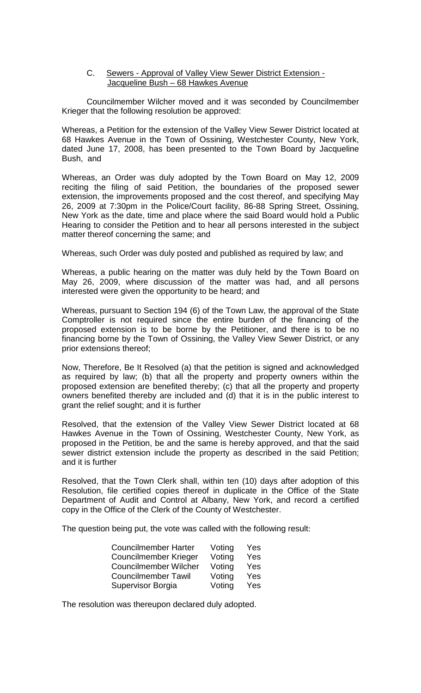#### C. Sewers - Approval of Valley View Sewer District Extension - Jacqueline Bush – 68 Hawkes Avenue

Councilmember Wilcher moved and it was seconded by Councilmember Krieger that the following resolution be approved:

Whereas, a Petition for the extension of the Valley View Sewer District located at 68 Hawkes Avenue in the Town of Ossining, Westchester County, New York, dated June 17, 2008, has been presented to the Town Board by Jacqueline Bush, and

Whereas, an Order was duly adopted by the Town Board on May 12, 2009 reciting the filing of said Petition, the boundaries of the proposed sewer extension, the improvements proposed and the cost thereof, and specifying May 26, 2009 at 7:30pm in the Police/Court facility, 86-88 Spring Street, Ossining, New York as the date, time and place where the said Board would hold a Public Hearing to consider the Petition and to hear all persons interested in the subject matter thereof concerning the same; and

Whereas, such Order was duly posted and published as required by law; and

Whereas, a public hearing on the matter was duly held by the Town Board on May 26, 2009, where discussion of the matter was had, and all persons interested were given the opportunity to be heard; and

Whereas, pursuant to Section 194 (6) of the Town Law, the approval of the State Comptroller is not required since the entire burden of the financing of the proposed extension is to be borne by the Petitioner, and there is to be no financing borne by the Town of Ossining, the Valley View Sewer District, or any prior extensions thereof;

Now, Therefore, Be It Resolved (a) that the petition is signed and acknowledged as required by law; (b) that all the property and property owners within the proposed extension are benefited thereby; (c) that all the property and property owners benefited thereby are included and (d) that it is in the public interest to grant the relief sought; and it is further

Resolved, that the extension of the Valley View Sewer District located at 68 Hawkes Avenue in the Town of Ossining, Westchester County, New York, as proposed in the Petition, be and the same is hereby approved, and that the said sewer district extension include the property as described in the said Petition; and it is further

Resolved, that the Town Clerk shall, within ten (10) days after adoption of this Resolution, file certified copies thereof in duplicate in the Office of the State Department of Audit and Control at Albany, New York, and record a certified copy in the Office of the Clerk of the County of Westchester.

The question being put, the vote was called with the following result:

| <b>Councilmember Harter</b>  | Voting | Yes |
|------------------------------|--------|-----|
| <b>Councilmember Krieger</b> | Voting | Yes |
| <b>Councilmember Wilcher</b> | Voting | Yes |
| <b>Councilmember Tawil</b>   | Voting | Yes |
| Supervisor Borgia            | Voting | Yes |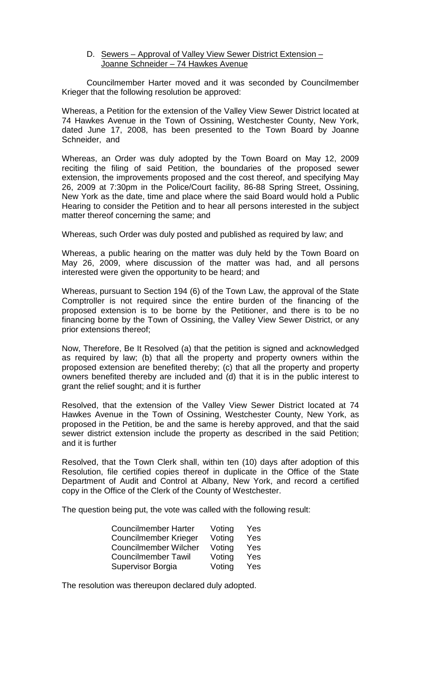D. Sewers - Approval of Valley View Sewer District Extension -Joanne Schneider – 74 Hawkes Avenue

Councilmember Harter moved and it was seconded by Councilmember Krieger that the following resolution be approved:

Whereas, a Petition for the extension of the Valley View Sewer District located at 74 Hawkes Avenue in the Town of Ossining, Westchester County, New York, dated June 17, 2008, has been presented to the Town Board by Joanne Schneider, and

Whereas, an Order was duly adopted by the Town Board on May 12, 2009 reciting the filing of said Petition, the boundaries of the proposed sewer extension, the improvements proposed and the cost thereof, and specifying May 26, 2009 at 7:30pm in the Police/Court facility, 86-88 Spring Street, Ossining, New York as the date, time and place where the said Board would hold a Public Hearing to consider the Petition and to hear all persons interested in the subject matter thereof concerning the same; and

Whereas, such Order was duly posted and published as required by law; and

Whereas, a public hearing on the matter was duly held by the Town Board on May 26, 2009, where discussion of the matter was had, and all persons interested were given the opportunity to be heard; and

Whereas, pursuant to Section 194 (6) of the Town Law, the approval of the State Comptroller is not required since the entire burden of the financing of the proposed extension is to be borne by the Petitioner, and there is to be no financing borne by the Town of Ossining, the Valley View Sewer District, or any prior extensions thereof;

Now, Therefore, Be It Resolved (a) that the petition is signed and acknowledged as required by law; (b) that all the property and property owners within the proposed extension are benefited thereby; (c) that all the property and property owners benefited thereby are included and (d) that it is in the public interest to grant the relief sought; and it is further

Resolved, that the extension of the Valley View Sewer District located at 74 Hawkes Avenue in the Town of Ossining, Westchester County, New York, as proposed in the Petition, be and the same is hereby approved, and that the said sewer district extension include the property as described in the said Petition; and it is further

Resolved, that the Town Clerk shall, within ten (10) days after adoption of this Resolution, file certified copies thereof in duplicate in the Office of the State Department of Audit and Control at Albany, New York, and record a certified copy in the Office of the Clerk of the County of Westchester.

The question being put, the vote was called with the following result:

| <b>Councilmember Harter</b>  | Voting | Yes |
|------------------------------|--------|-----|
| <b>Councilmember Krieger</b> | Voting | Yes |
| <b>Councilmember Wilcher</b> | Voting | Yes |
| <b>Councilmember Tawil</b>   | Voting | Yes |
| Supervisor Borgia            | Voting | Yes |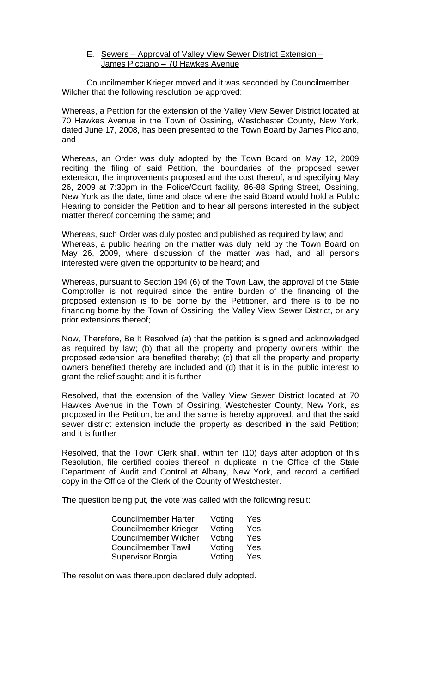E. Sewers – Approval of Valley View Sewer District Extension – James Picciano – 70 Hawkes Avenue

Councilmember Krieger moved and it was seconded by Councilmember Wilcher that the following resolution be approved:

Whereas, a Petition for the extension of the Valley View Sewer District located at 70 Hawkes Avenue in the Town of Ossining, Westchester County, New York, dated June 17, 2008, has been presented to the Town Board by James Picciano, and

Whereas, an Order was duly adopted by the Town Board on May 12, 2009 reciting the filing of said Petition, the boundaries of the proposed sewer extension, the improvements proposed and the cost thereof, and specifying May 26, 2009 at 7:30pm in the Police/Court facility, 86-88 Spring Street, Ossining, New York as the date, time and place where the said Board would hold a Public Hearing to consider the Petition and to hear all persons interested in the subject matter thereof concerning the same; and

Whereas, such Order was duly posted and published as required by law; and Whereas, a public hearing on the matter was duly held by the Town Board on May 26, 2009, where discussion of the matter was had, and all persons interested were given the opportunity to be heard; and

Whereas, pursuant to Section 194 (6) of the Town Law, the approval of the State Comptroller is not required since the entire burden of the financing of the proposed extension is to be borne by the Petitioner, and there is to be no financing borne by the Town of Ossining, the Valley View Sewer District, or any prior extensions thereof;

Now, Therefore, Be It Resolved (a) that the petition is signed and acknowledged as required by law; (b) that all the property and property owners within the proposed extension are benefited thereby; (c) that all the property and property owners benefited thereby are included and (d) that it is in the public interest to grant the relief sought; and it is further

Resolved, that the extension of the Valley View Sewer District located at 70 Hawkes Avenue in the Town of Ossining, Westchester County, New York, as proposed in the Petition, be and the same is hereby approved, and that the said sewer district extension include the property as described in the said Petition; and it is further

Resolved, that the Town Clerk shall, within ten (10) days after adoption of this Resolution, file certified copies thereof in duplicate in the Office of the State Department of Audit and Control at Albany, New York, and record a certified copy in the Office of the Clerk of the County of Westchester.

The question being put, the vote was called with the following result:

| <b>Councilmember Harter</b>  | Voting | Yes        |
|------------------------------|--------|------------|
| <b>Councilmember Krieger</b> | Voting | Yes        |
| <b>Councilmember Wilcher</b> | Voting | Yes        |
| <b>Councilmember Tawil</b>   | Voting | Yes        |
| <b>Supervisor Borgia</b>     | Voting | <b>Yes</b> |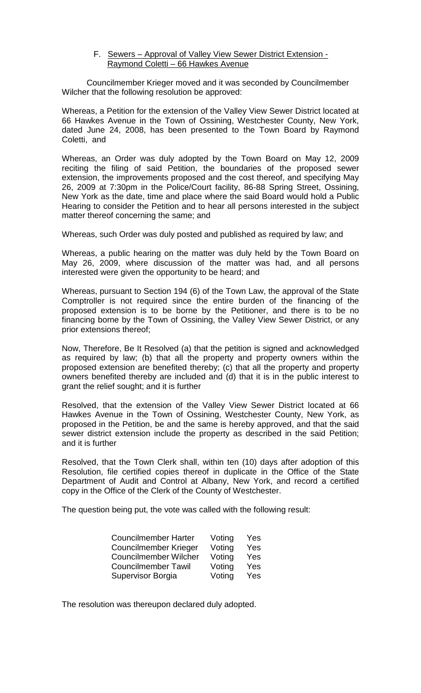F. Sewers – Approval of Valley View Sewer District Extension - Raymond Coletti – 66 Hawkes Avenue

Councilmember Krieger moved and it was seconded by Councilmember Wilcher that the following resolution be approved:

Whereas, a Petition for the extension of the Valley View Sewer District located at 66 Hawkes Avenue in the Town of Ossining, Westchester County, New York, dated June 24, 2008, has been presented to the Town Board by Raymond Coletti, and

Whereas, an Order was duly adopted by the Town Board on May 12, 2009 reciting the filing of said Petition, the boundaries of the proposed sewer extension, the improvements proposed and the cost thereof, and specifying May 26, 2009 at 7:30pm in the Police/Court facility, 86-88 Spring Street, Ossining, New York as the date, time and place where the said Board would hold a Public Hearing to consider the Petition and to hear all persons interested in the subject matter thereof concerning the same; and

Whereas, such Order was duly posted and published as required by law; and

Whereas, a public hearing on the matter was duly held by the Town Board on May 26, 2009, where discussion of the matter was had, and all persons interested were given the opportunity to be heard; and

Whereas, pursuant to Section 194 (6) of the Town Law, the approval of the State Comptroller is not required since the entire burden of the financing of the proposed extension is to be borne by the Petitioner, and there is to be no financing borne by the Town of Ossining, the Valley View Sewer District, or any prior extensions thereof;

Now, Therefore, Be It Resolved (a) that the petition is signed and acknowledged as required by law; (b) that all the property and property owners within the proposed extension are benefited thereby; (c) that all the property and property owners benefited thereby are included and (d) that it is in the public interest to grant the relief sought; and it is further

Resolved, that the extension of the Valley View Sewer District located at 66 Hawkes Avenue in the Town of Ossining, Westchester County, New York, as proposed in the Petition, be and the same is hereby approved, and that the said sewer district extension include the property as described in the said Petition; and it is further

Resolved, that the Town Clerk shall, within ten (10) days after adoption of this Resolution, file certified copies thereof in duplicate in the Office of the State Department of Audit and Control at Albany, New York, and record a certified copy in the Office of the Clerk of the County of Westchester.

The question being put, the vote was called with the following result:

| <b>Councilmember Harter</b>  | Voting | Yes |
|------------------------------|--------|-----|
| <b>Councilmember Krieger</b> | Voting | Yes |
| <b>Councilmember Wilcher</b> | Voting | Yes |
| <b>Councilmember Tawil</b>   | Voting | Yes |
| Supervisor Borgia            | Voting | Yes |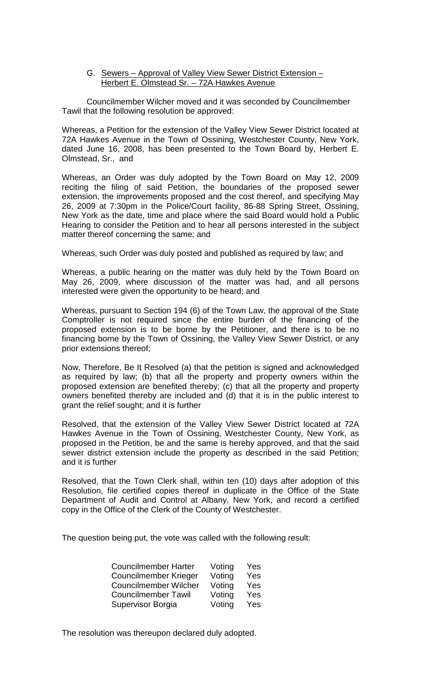G. Sewers – Approval of Valley View Sewer District Extension – Herbert E. Olmstead Sr. – 72A Hawkes Avenue

Councilmember Wilcher moved and it was seconded by Councilmember Tawil that the following resolution be approved:

Whereas, a Petition for the extension of the Valley View Sewer District located at 72A Hawkes Avenue in the Town of Ossining, Westchester County, New York, dated June 16, 2008, has been presented to the Town Board by, Herbert E. Olmstead, Sr., and

Whereas, an Order was duly adopted by the Town Board on May 12, 2009 reciting the filing of said Petition, the boundaries of the proposed sewer extension, the improvements proposed and the cost thereof, and specifying May 26, 2009 at 7:30pm in the Police/Court facility, 86-88 Spring Street, Ossining, New York as the date, time and place where the said Board would hold a Public Hearing to consider the Petition and to hear all persons interested in the subject matter thereof concerning the same; and

Whereas, such Order was duly posted and published as required by law; and

Whereas, a public hearing on the matter was duly held by the Town Board on May 26, 2009, where discussion of the matter was had, and all persons interested were given the opportunity to be heard; and

Whereas, pursuant to Section 194 (6) of the Town Law, the approval of the State Comptroller is not required since the entire burden of the financing of the proposed extension is to be borne by the Petitioner, and there is to be no financing borne by the Town of Ossining, the Valley View Sewer District, or any prior extensions thereof;

Now, Therefore, Be It Resolved (a) that the petition is signed and acknowledged as required by law; (b) that all the property and property owners within the proposed extension are benefited thereby; (c) that all the property and property owners benefited thereby are included and (d) that it is in the public interest to grant the relief sought; and it is further

Resolved, that the extension of the Valley View Sewer District located at 72A Hawkes Avenue in the Town of Ossining, Westchester County, New York, as proposed in the Petition, be and the same is hereby approved, and that the said sewer district extension include the property as described in the said Petition; and it is further

Resolved, that the Town Clerk shall, within ten (10) days after adoption of this Resolution, file certified copies thereof in duplicate in the Office of the State Department of Audit and Control at Albany, New York, and record a certified copy in the Office of the Clerk of the County of Westchester.

The question being put, the vote was called with the following result:

| <b>Councilmember Harter</b>  | Voting | Yes |
|------------------------------|--------|-----|
| <b>Councilmember Krieger</b> | Voting | Yes |
| <b>Councilmember Wilcher</b> | Voting | Yes |
| <b>Councilmember Tawil</b>   | Voting | Yes |
| Supervisor Borgia            | Voting | Yes |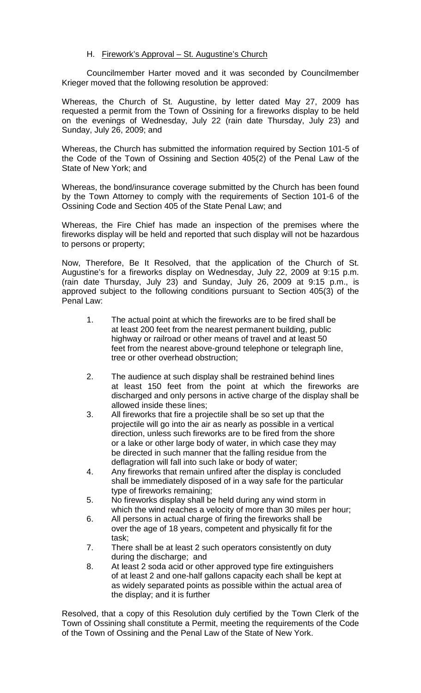### H. Firework's Approval – St. Augustine's Church

Councilmember Harter moved and it was seconded by Councilmember Krieger moved that the following resolution be approved:

Whereas, the Church of St. Augustine, by letter dated May 27, 2009 has requested a permit from the Town of Ossining for a fireworks display to be held on the evenings of Wednesday, July 22 (rain date Thursday, July 23) and Sunday, July 26, 2009; and

Whereas, the Church has submitted the information required by Section 101-5 of the Code of the Town of Ossining and Section 405(2) of the Penal Law of the State of New York; and

Whereas, the bond/insurance coverage submitted by the Church has been found by the Town Attorney to comply with the requirements of Section 101-6 of the Ossining Code and Section 405 of the State Penal Law; and

Whereas, the Fire Chief has made an inspection of the premises where the fireworks display will be held and reported that such display will not be hazardous to persons or property;

Now, Therefore, Be It Resolved, that the application of the Church of St. Augustine's for a fireworks display on Wednesday, July 22, 2009 at 9:15 p.m. (rain date Thursday, July 23) and Sunday, July 26, 2009 at 9:15 p.m., is approved subject to the following conditions pursuant to Section 405(3) of the Penal Law:

- 1. The actual point at which the fireworks are to be fired shall be at least 200 feet from the nearest permanent building, public highway or railroad or other means of travel and at least 50 feet from the nearest above-ground telephone or telegraph line, tree or other overhead obstruction;
- 2. The audience at such display shall be restrained behind lines at least 150 feet from the point at which the fireworks are discharged and only persons in active charge of the display shall be allowed inside these lines;
- 3. All fireworks that fire a projectile shall be so set up that the projectile will go into the air as nearly as possible in a vertical direction, unless such fireworks are to be fired from the shore or a lake or other large body of water, in which case they may be directed in such manner that the falling residue from the deflagration will fall into such lake or body of water;
- 4. Any fireworks that remain unfired after the display is concluded shall be immediately disposed of in a way safe for the particular type of fireworks remaining;
- 5. No fireworks display shall be held during any wind storm in which the wind reaches a velocity of more than 30 miles per hour;
- 6. All persons in actual charge of firing the fireworks shall be over the age of 18 years, competent and physically fit for the task;
- 7. There shall be at least 2 such operators consistently on duty during the discharge; and
- 8. At least 2 soda acid or other approved type fire extinguishers of at least 2 and one-half gallons capacity each shall be kept at as widely separated points as possible within the actual area of the display; and it is further

Resolved, that a copy of this Resolution duly certified by the Town Clerk of the Town of Ossining shall constitute a Permit, meeting the requirements of the Code of the Town of Ossining and the Penal Law of the State of New York.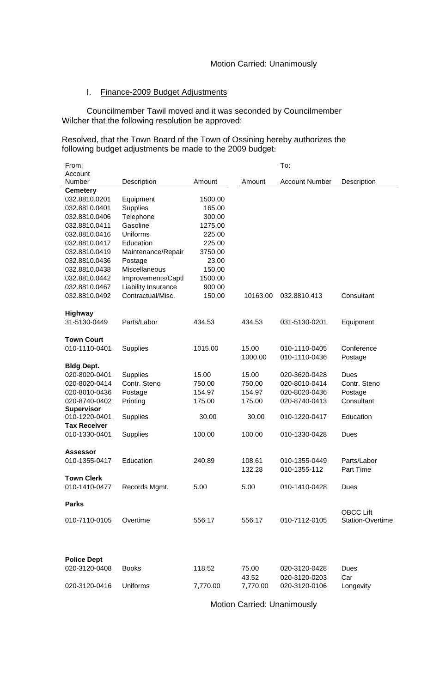### I. Finance-2009 Budget Adjustments

Councilmember Tawil moved and it was seconded by Councilmember Wilcher that the following resolution be approved:

Resolved, that the Town Board of the Town of Ossining hereby authorizes the following budget adjustments be made to the 2009 budget:

| From:                               |                     |          |          | To:                   |                         |
|-------------------------------------|---------------------|----------|----------|-----------------------|-------------------------|
| Account                             |                     |          |          |                       |                         |
| Number                              | Description         | Amount   | Amount   | <b>Account Number</b> | Description             |
| <b>Cemetery</b>                     |                     |          |          |                       |                         |
| 032.8810.0201                       | Equipment           | 1500.00  |          |                       |                         |
| 032.8810.0401                       | <b>Supplies</b>     | 165.00   |          |                       |                         |
| 032.8810.0406                       | Telephone           | 300.00   |          |                       |                         |
| 032.8810.0411                       | Gasoline            | 1275.00  |          |                       |                         |
| 032.8810.0416                       | Uniforms            | 225.00   |          |                       |                         |
| 032.8810.0417                       | Education           | 225.00   |          |                       |                         |
| 032.8810.0419                       | Maintenance/Repair  | 3750.00  |          |                       |                         |
| 032.8810.0436                       | Postage             | 23.00    |          |                       |                         |
| 032.8810.0438                       | Miscellaneous       | 150.00   |          |                       |                         |
| 032.8810.0442                       | Improvements/Captl  | 1500.00  |          |                       |                         |
| 032.8810.0467                       | Liability Insurance | 900.00   |          |                       |                         |
| 032.8810.0492                       | Contractual/Misc.   | 150.00   | 10163.00 | 032.8810.413          | Consultant              |
|                                     |                     |          |          |                       |                         |
| <b>Highway</b>                      |                     |          |          |                       |                         |
| 31-5130-0449                        | Parts/Labor         | 434.53   | 434.53   | 031-5130-0201         | Equipment               |
| <b>Town Court</b>                   |                     |          |          |                       |                         |
|                                     |                     |          |          | 010-1110-0405         |                         |
| 010-1110-0401                       | Supplies            | 1015.00  | 15.00    |                       | Conference              |
|                                     |                     |          | 1000.00  | 010-1110-0436         | Postage                 |
| <b>Bldg Dept.</b>                   |                     |          |          |                       |                         |
| 020-8020-0401                       | <b>Supplies</b>     | 15.00    | 15.00    | 020-3620-0428         | Dues                    |
| 020-8020-0414                       | Contr. Steno        | 750.00   | 750.00   | 020-8010-0414         | Contr. Steno            |
| 020-8010-0436                       | Postage             | 154.97   | 154.97   | 020-8020-0436         | Postage                 |
| 020-8740-0402<br><b>Supervisor</b>  | Printing            | 175.00   | 175.00   | 020-8740-0413         | Consultant              |
| 010-1220-0401                       | <b>Supplies</b>     | 30.00    | 30.00    | 010-1220-0417         | Education               |
| <b>Tax Receiver</b>                 |                     |          |          |                       |                         |
| 010-1330-0401                       | Supplies            | 100.00   | 100.00   | 010-1330-0428         | Dues                    |
|                                     |                     |          |          |                       |                         |
| <b>Assessor</b>                     |                     |          |          |                       |                         |
| 010-1355-0417                       | Education           | 240.89   | 108.61   | 010-1355-0449         | Parts/Labor             |
|                                     |                     |          | 132.28   | 010-1355-112          | <b>Part Time</b>        |
| <b>Town Clerk</b>                   |                     |          |          |                       |                         |
| 010-1410-0477                       | Records Mgmt.       | 5.00     | 5.00     | 010-1410-0428         | Dues                    |
|                                     |                     |          |          |                       |                         |
| <b>Parks</b>                        |                     |          |          |                       |                         |
|                                     |                     |          |          |                       | <b>OBCC Lift</b>        |
| 010-7110-0105                       | Overtime            | 556.17   | 556.17   | 010-7112-0105         | <b>Station-Overtime</b> |
|                                     |                     |          |          |                       |                         |
|                                     |                     |          |          |                       |                         |
|                                     |                     |          |          |                       |                         |
|                                     |                     |          |          |                       |                         |
| <b>Police Dept</b><br>020-3120-0408 | <b>Books</b>        | 118.52   | 75.00    | 020-3120-0428         | Dues                    |
|                                     |                     |          | 43.52    | 020-3120-0203         | Car                     |
|                                     |                     |          |          |                       |                         |
| 020-3120-0416                       | Uniforms            | 7,770.00 | 7,770.00 | 020-3120-0106         | Longevity               |

Motion Carried: Unanimously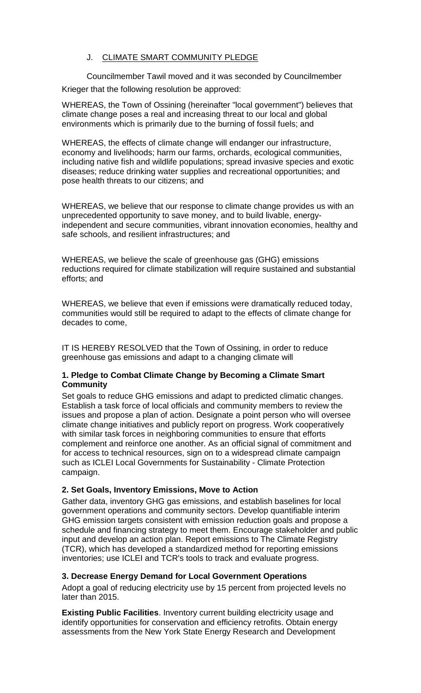# J. CLIMATE SMART COMMUNITY PLEDGE

Councilmember Tawil moved and it was seconded by Councilmember Krieger that the following resolution be approved:

WHEREAS, the Town of Ossining (hereinafter "local government") believes that climate change poses a real and increasing threat to our local and global environments which is primarily due to the burning of fossil fuels; and

WHEREAS, the effects of climate change will endanger our infrastructure, economy and livelihoods; harm our farms, orchards, ecological communities, including native fish and wildlife populations; spread invasive species and exotic diseases; reduce drinking water supplies and recreational opportunities; and pose health threats to our citizens; and

WHEREAS, we believe that our response to climate change provides us with an unprecedented opportunity to save money, and to build livable, energyindependent and secure communities, vibrant innovation economies, healthy and safe schools, and resilient infrastructures; and

WHEREAS, we believe the scale of greenhouse gas (GHG) emissions reductions required for climate stabilization will require sustained and substantial efforts; and

WHEREAS, we believe that even if emissions were dramatically reduced today, communities would still be required to adapt to the effects of climate change for decades to come,

IT IS HEREBY RESOLVED that the Town of Ossining, in order to reduce greenhouse gas emissions and adapt to a changing climate will

## **1. Pledge to Combat Climate Change by Becoming a Climate Smart Community**

Set goals to reduce GHG emissions and adapt to predicted climatic changes. Establish a task force of local officials and community members to review the issues and propose a plan of action. Designate a point person who will oversee climate change initiatives and publicly report on progress. Work cooperatively with similar task forces in neighboring communities to ensure that efforts complement and reinforce one another. As an official signal of commitment and for access to technical resources, sign on to a widespread climate campaign such as ICLEI Local Governments for Sustainability - Climate Protection campaign.

## **2. Set Goals, Inventory Emissions, Move to Action**

Gather data, inventory GHG gas emissions, and establish baselines for local government operations and community sectors. Develop quantifiable interim GHG emission targets consistent with emission reduction goals and propose a schedule and financing strategy to meet them. Encourage stakeholder and public input and develop an action plan. Report emissions to The Climate Registry (TCR), which has developed a standardized method for reporting emissions inventories; use ICLEI and TCR's tools to track and evaluate progress.

## **3. Decrease Energy Demand for Local Government Operations**

Adopt a goal of reducing electricity use by 15 percent from projected levels no later than 2015.

**Existing Public Facilities**. Inventory current building electricity usage and identify opportunities for conservation and efficiency retrofits. Obtain energy assessments from the New York State Energy Research and Development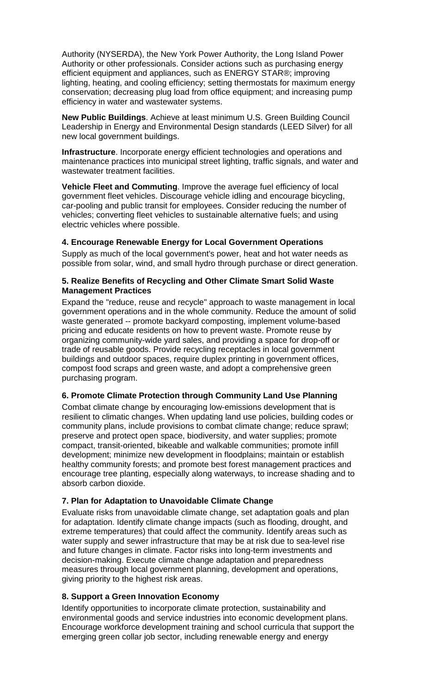Authority (NYSERDA), the New York Power Authority, the Long Island Power Authority or other professionals. Consider actions such as purchasing energy efficient equipment and appliances, such as ENERGY STAR®; improving lighting, heating, and cooling efficiency; setting thermostats for maximum energy conservation; decreasing plug load from office equipment; and increasing pump efficiency in water and wastewater systems.

**New Public Buildings**. Achieve at least minimum U.S. Green Building Council Leadership in Energy and Environmental Design standards (LEED Silver) for all new local government buildings.

**Infrastructure**. Incorporate energy efficient technologies and operations and maintenance practices into municipal street lighting, traffic signals, and water and wastewater treatment facilities.

**Vehicle Fleet and Commuting**. Improve the average fuel efficiency of local government fleet vehicles. Discourage vehicle idling and encourage bicycling, car-pooling and public transit for employees. Consider reducing the number of vehicles; converting fleet vehicles to sustainable alternative fuels; and using electric vehicles where possible.

## **4. Encourage Renewable Energy for Local Government Operations**

Supply as much of the local government's power, heat and hot water needs as possible from solar, wind, and small hydro through purchase or direct generation.

#### **5. Realize Benefits of Recycling and Other Climate Smart Solid Waste Management Practices**

Expand the "reduce, reuse and recycle" approach to waste management in local government operations and in the whole community. Reduce the amount of solid waste generated -- promote backyard composting, implement volume-based pricing and educate residents on how to prevent waste. Promote reuse by organizing community-wide yard sales, and providing a space for drop-off or trade of reusable goods. Provide recycling receptacles in local government buildings and outdoor spaces, require duplex printing in government offices, compost food scraps and green waste, and adopt a comprehensive green purchasing program.

## **6. Promote Climate Protection through Community Land Use Planning**

Combat climate change by encouraging low-emissions development that is resilient to climatic changes. When updating land use policies, building codes or community plans, include provisions to combat climate change; reduce sprawl; preserve and protect open space, biodiversity, and water supplies; promote compact, transit-oriented, bikeable and walkable communities; promote infill development; minimize new development in floodplains; maintain or establish healthy community forests; and promote best forest management practices and encourage tree planting, especially along waterways, to increase shading and to absorb carbon dioxide.

## **7. Plan for Adaptation to Unavoidable Climate Change**

Evaluate risks from unavoidable climate change, set adaptation goals and plan for adaptation. Identify climate change impacts (such as flooding, drought, and extreme temperatures) that could affect the community. Identify areas such as water supply and sewer infrastructure that may be at risk due to sea-level rise and future changes in climate. Factor risks into long-term investments and decision-making. Execute climate change adaptation and preparedness measures through local government planning, development and operations, giving priority to the highest risk areas.

## **8. Support a Green Innovation Economy**

Identify opportunities to incorporate climate protection, sustainability and environmental goods and service industries into economic development plans. Encourage workforce development training and school curricula that support the emerging green collar job sector, including renewable energy and energy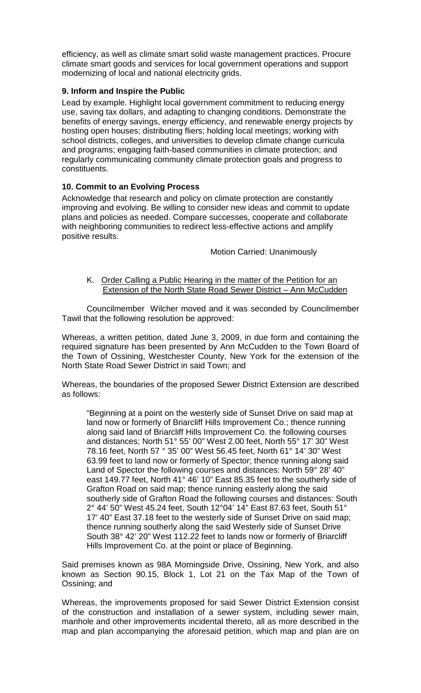efficiency, as well as climate smart solid waste management practices. Procure climate smart goods and services for local government operations and support modernizing of local and national electricity grids.

## **9. Inform and Inspire the Public**

Lead by example. Highlight local government commitment to reducing energy use, saving tax dollars, and adapting to changing conditions. Demonstrate the benefits of energy savings, energy efficiency, and renewable energy projects by hosting open houses; distributing fliers; holding local meetings; working with school districts, colleges, and universities to develop climate change curricula and programs; engaging faith-based communities in climate protection; and regularly communicating community climate protection goals and progress to constituents.

# **10. Commit to an Evolving Process**

Acknowledge that research and policy on climate protection are constantly improving and evolving. Be willing to consider new ideas and commit to update plans and policies as needed. Compare successes, cooperate and collaborate with neighboring communities to redirect less-effective actions and amplify positive results.

Motion Carried: Unanimously

### K. Order Calling a Public Hearing in the matter of the Petition for an Extension of the North State Road Sewer District - Ann McCudden

Councilmember Wilcher moved and it was seconded by Councilmember Tawil that the following resolution be approved:

Whereas, a written petition, dated June 3, 2009, in due form and containing the required signature has been presented by Ann McCudden to the Town Board of the Town of Ossining, Westchester County, New York for the extension of the North State Road Sewer District in said Town; and

Whereas, the boundaries of the proposed Sewer District Extension are described as follows:

"Beginning at a point on the westerly side of Sunset Drive on said map at land now or formerly of Briarcliff Hills Improvement Co.; thence running along said land of Briarcliff Hills Improvement Co. the following courses and distances; North 51° 55' 00" West 2.00 feet, North 55° 17' 30" West 78.16 feet, North 57 ° 35' 00" West 56.45 feet, North 61° 14' 30" West 63.99 feet to land now or formerly of Spector; thence running along said Land of Spector the following courses and distances: North 59° 28' 40" east 149.77 feet, North 41° 46' 10" East 85.35 feet to the southerly side of Grafton Road on said map; thence running easterly along the said southerly side of Grafton Road the following courses and distances: South 2° 44' 50" West 45.24 feet, South 12°04' 14" East 87.63 feet, South 51° 17' 40" East 37.18 feet to the westerly side of Sunset Drive on said map; thence running southerly along the said Westerly side of Sunset Drive South 38° 42' 20" West 112.22 feet to lands now or formerly of Briarcliff Hills Improvement Co. at the point or place of Beginning.

Said premises known as 98A Morningside Drive, Ossining, New York, and also known as Section 90.15, Block 1, Lot 21 on the Tax Map of the Town of Ossining; and

Whereas, the improvements proposed for said Sewer District Extension consist of the construction and installation of a sewer system, including sewer main, manhole and other improvements incidental thereto, all as more described in the map and plan accompanying the aforesaid petition, which map and plan are on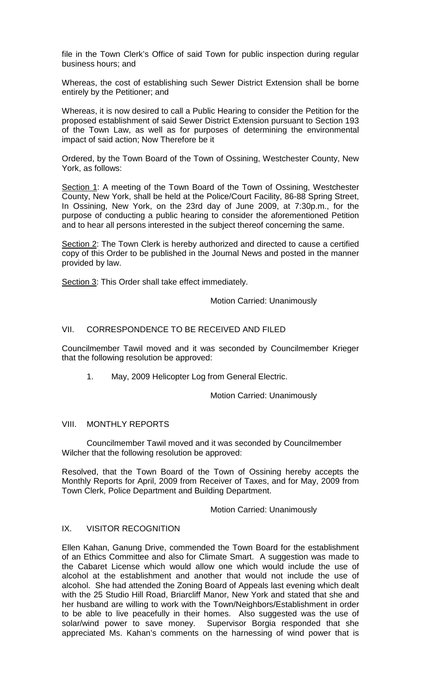file in the Town Clerk's Office of said Town for public inspection during regular business hours; and

Whereas, the cost of establishing such Sewer District Extension shall be borne entirely by the Petitioner; and

Whereas, it is now desired to call a Public Hearing to consider the Petition for the proposed establishment of said Sewer District Extension pursuant to Section 193 of the Town Law, as well as for purposes of determining the environmental impact of said action; Now Therefore be it

Ordered, by the Town Board of the Town of Ossining, Westchester County, New York, as follows:

Section 1: A meeting of the Town Board of the Town of Ossining, Westchester County, New York, shall be held at the Police/Court Facility, 86-88 Spring Street, In Ossining, New York, on the 23rd day of June 2009, at 7:30p.m., for the purpose of conducting a public hearing to consider the aforementioned Petition and to hear all persons interested in the subject thereof concerning the same.

Section 2: The Town Clerk is hereby authorized and directed to cause a certified copy of this Order to be published in the Journal News and posted in the manner provided by law.

Section 3: This Order shall take effect immediately.

Motion Carried: Unanimously

## VII. CORRESPONDENCE TO BE RECEIVED AND FILED

Councilmember Tawil moved and it was seconded by Councilmember Krieger that the following resolution be approved:

1. May, 2009 Helicopter Log from General Electric.

Motion Carried: Unanimously

#### VIII. MONTHLY REPORTS

Councilmember Tawil moved and it was seconded by Councilmember Wilcher that the following resolution be approved:

Resolved, that the Town Board of the Town of Ossining hereby accepts the Monthly Reports for April, 2009 from Receiver of Taxes, and for May, 2009 from Town Clerk, Police Department and Building Department.

Motion Carried: Unanimously

#### IX. VISITOR RECOGNITION

Ellen Kahan, Ganung Drive, commended the Town Board for the establishment of an Ethics Committee and also for Climate Smart. A suggestion was made to the Cabaret License which would allow one which would include the use of alcohol at the establishment and another that would not include the use of alcohol. She had attended the Zoning Board of Appeals last evening which dealt with the 25 Studio Hill Road, Briarcliff Manor, New York and stated that she and her husband are willing to work with the Town/Neighbors/Establishment in order to be able to live peacefully in their homes. Also suggested was the use of solar/wind power to save money. Supervisor Borgia responded that she appreciated Ms. Kahan's comments on the harnessing of wind power that is